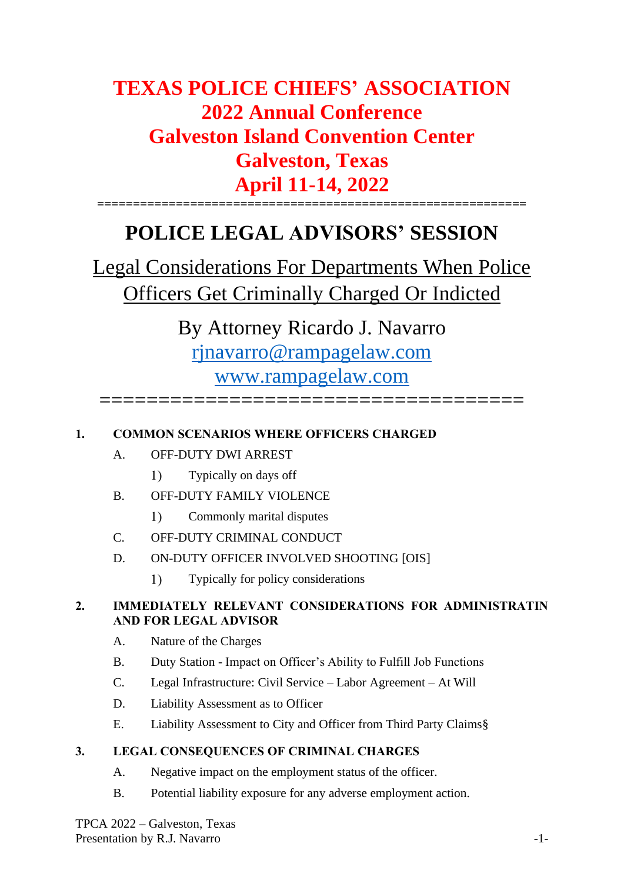# **TEXAS POLICE CHIEFS' ASSOCIATION 2022 Annual Conference Galveston Island Convention Center Galveston, Texas April 11-14, 2022 ============================================================**

# **POLICE LEGAL ADVISORS' SESSION**

Legal Considerations For Departments When Police Officers Get Criminally Charged Or Indicted

By Attorney Ricardo J. Navarro [rjnavarro@rampagelaw.com](mailto:rjnavarro@rampagelaw.com) [www.rampagelaw.com](http://www.rampagelaw.com/) ====================================

# **1. COMMON SCENARIOS WHERE OFFICERS CHARGED**

- A. OFF-DUTY DWI ARREST
	- $1)$ Typically on days off
- B. OFF-DUTY FAMILY VIOLENCE
	- $1)$ Commonly marital disputes
- C. OFF-DUTY CRIMINAL CONDUCT
- D. ON-DUTY OFFICER INVOLVED SHOOTING [OIS]
	- $1)$ Typically for policy considerations

# **2. IMMEDIATELY RELEVANT CONSIDERATIONS FOR ADMINISTRATIN AND FOR LEGAL ADVISOR**

- A. Nature of the Charges
- B. Duty Station Impact on Officer's Ability to Fulfill Job Functions
- C. Legal Infrastructure: Civil Service Labor Agreement At Will
- D. Liability Assessment as to Officer
- E. Liability Assessment to City and Officer from Third Party Claims§

# **3. LEGAL CONSEQUENCES OF CRIMINAL CHARGES**

- A. Negative impact on the employment status of the officer.
- B. Potential liability exposure for any adverse employment action.

TPCA 2022 – Galveston, Texas Presentation by R.J. Navarro -1-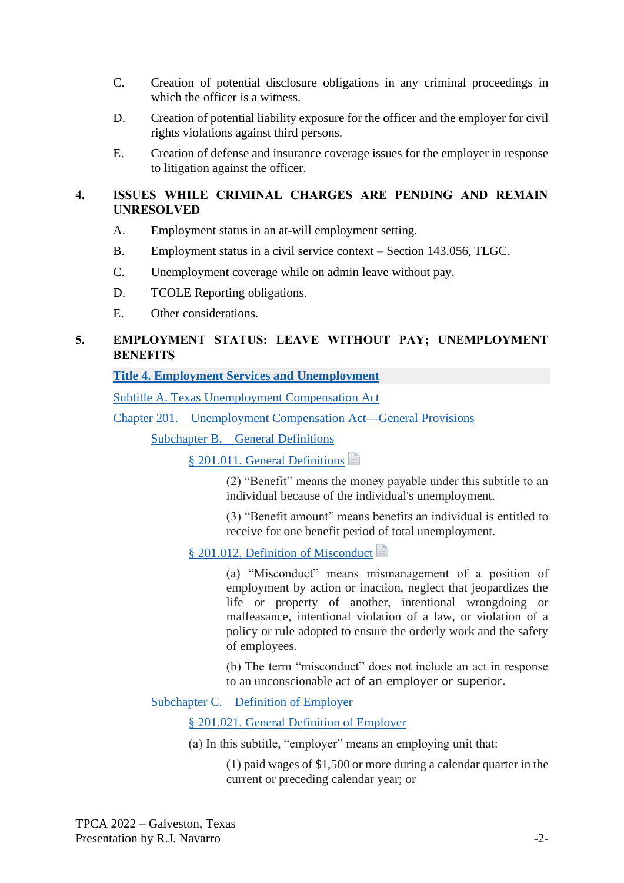- C. Creation of potential disclosure obligations in any criminal proceedings in which the officer is a witness.
- D. Creation of potential liability exposure for the officer and the employer for civil rights violations against third persons.
- E. Creation of defense and insurance coverage issues for the employer in response to litigation against the officer.

## **4. ISSUES WHILE CRIMINAL CHARGES ARE PENDING AND REMAIN UNRESOLVED**

- A. Employment status in an at-will employment setting.
- B. Employment status in a civil service context Section 143.056, TLGC.
- C. Unemployment coverage while on admin leave without pay.
- D. TCOLE Reporting obligations.
- E. Other considerations.

# **5. EMPLOYMENT STATUS: LEAVE WITHOUT PAY; UNEMPLOYMENT BENEFITS**

#### **[Title 4. Employment Services and Unemployment](https://1.next.westlaw.com/Browse/Home/StatutesCourtRules/TexasStatutesCourtRules?guid=N8C2D8814D3984A0CA897D437A584C375&originationContext=documenttoc&transitionType=Default&contextData=(sc.Default))**

[Subtitle A. Texas Unemployment Compensation Act](https://1.next.westlaw.com/Browse/Home/StatutesCourtRules/TexasStatutesCourtRules?guid=N2486A13DABF84E1DB9A384C658E39C08&originationContext=documenttoc&transitionType=Default&contextData=(sc.Default))

Chapter 201. [Unemployment Compensation Act—General Provisions](https://1.next.westlaw.com/Browse/Home/StatutesCourtRules/TexasStatutesCourtRules?guid=N063EC1C6A21D4567BF9EAB22E8629424&originationContext=documenttoc&transitionType=Default&contextData=(sc.Default))

Subchapter B. [General Definitions](https://1.next.westlaw.com/Browse/Home/StatutesCourtRules/TexasStatutesCourtRules?guid=NF47FEE1595504E198AEC7C2DF59D76A0&originationContext=documenttoc&transitionType=Default&contextData=(sc.Default))

[§ 201.011. General Definitions](https://1.next.westlaw.com/Document/N67C410400FD311EAB3BAC09E1BEAB78F/View/FullText.html?originationContext=documenttoc&transitionType=CategoryPageItem&contextData=(sc.Default))

(2) "Benefit" means the money payable under this subtitle to an individual because of the individual's unemployment.

(3) "Benefit amount" means benefits an individual is entitled to receive for one benefit period of total unemployment.

## [§ 201.012. Definition of Misconduct](https://1.next.westlaw.com/Document/NF6E014D0BE7211D9BDF79F56AB79CECB/View/FullText.html?originationContext=documenttoc&transitionType=CategoryPageItem&contextData=(sc.Default))

(a) "Misconduct" means mismanagement of a position of employment by action or inaction, neglect that jeopardizes the life or property of another, intentional wrongdoing or malfeasance, intentional violation of a law, or violation of a policy or rule adopted to ensure the orderly work and the safety of employees.

(b) The term "misconduct" does not include an act in response to an unconscionable act of an employer or superior.

Subchapter C. [Definition of Employer](https://1.next.westlaw.com/Browse/Home/StatutesCourtRules/TexasStatutesCourtRules?guid=NE98DAC3C97774AA69AB9FEF48D87DB1F&originationContext=documenttoc&transitionType=Default&contextData=(sc.Default))

[§ 201.021. General Definition of Employer](https://1.next.westlaw.com/Document/N2B78CF502AD011E5B2B5A75792492041/View/FullText.html?originationContext=documenttoc&transitionType=CategoryPageItem&contextData=(sc.Default))

(a) In this subtitle, "employer" means an employing unit that:

(1) paid wages of \$1,500 or more during a calendar quarter in the current or preceding calendar year; or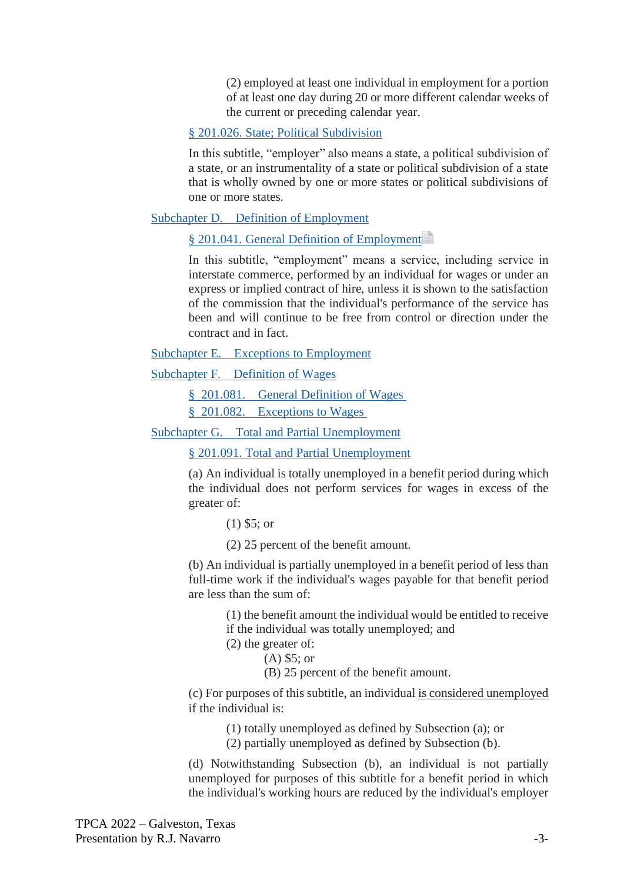(2) employed at least one individual in employment for a portion of at least one day during 20 or more different calendar weeks of the current or preceding calendar year.

#### [§ 201.026. State; Political Subdivision](https://1.next.westlaw.com/Document/NF3D741A0BE7211D9BDF79F56AB79CECB/View/FullText.html?originationContext=documenttoc&transitionType=CategoryPageItem&contextData=(sc.Default))

In this subtitle, "employer" also means a state, a political subdivision of a state, or an instrumentality of a state or political subdivision of a state that is wholly owned by one or more states or political subdivisions of one or more states.

#### Subchapter D. [Definition of Employment](https://1.next.westlaw.com/Browse/Home/StatutesCourtRules/TexasStatutesCourtRules?guid=N7D967B8ABF194BBEAE13B3B9CFEDB12B&originationContext=documenttoc&transitionType=Default&contextData=(sc.Default))

[§ 201.041. General Definition of Employment](https://1.next.westlaw.com/Document/NFAE19FE0BE7211D9BDF79F56AB79CECB/View/FullText.html?originationContext=documenttoc&transitionType=CategoryPageItem&contextData=(sc.Default))

In this subtitle, "employment" means a service, including service in interstate commerce, performed by an individual for wages or under an express or implied contract of hire, unless it is shown to the satisfaction of the commission that the individual's performance of the service has been and will continue to be free from control or direction under the contract and in fact.

Subchapter E. [Exceptions to Employment](https://1.next.westlaw.com/Browse/Home/StatutesCourtRules/TexasStatutesCourtRules?guid=N55381F27CE7F4D049638CBEB41CDE76C&originationContext=documenttoc&transitionType=Default&contextData=(sc.Default))

Subchapter F. [Definition of Wages](https://1.next.westlaw.com/Browse/Home/StatutesCourtRules/TexasStatutesCourtRules?guid=NEB2503B1AF4A42298C92D4B2010AECB2&originationContext=documenttoc&transitionType=Default&contextData=(sc.Default))

§ 201.081. [General Definition of Wages](https://1.next.westlaw.com/Document/NEECEF4F0BE7211D9BDF79F56AB79CECB/View/FullText.html?originationContext=documenttoc&transitionType=CategoryPageItem&contextData=(sc.Default))

§ 201.082. [Exceptions to Wages](https://1.next.westlaw.com/Document/NFA24DF90BE7211D9BDF79F56AB79CECB/View/FullText.html?originationContext=documenttoc&transitionType=CategoryPageItem&contextData=(sc.Default))

Subchapter G. [Total and Partial Unemployment](https://1.next.westlaw.com/Browse/Home/StatutesCourtRules/TexasStatutesCourtRules?guid=N1A84E74691AF45A69ACD2C52E54BC951&originationContext=documenttoc&transitionType=Default&contextData=(sc.Default))

[§ 201.091. Total and Partial Unemployment](https://1.next.westlaw.com/Document/NE2773050F60D11D99C5FA1AFB46EEDE7/View/FullText.html?originationContext=documenttoc&transitionType=CategoryPageItem&contextData=(sc.Default))

(a) An individual is totally unemployed in a benefit period during which the individual does not perform services for wages in excess of the greater of:

(1) \$5; or

(2) 25 percent of the benefit amount.

(b) An individual is partially unemployed in a benefit period of less than full-time work if the individual's wages payable for that benefit period are less than the sum of:

> (1) the benefit amount the individual would be entitled to receive if the individual was totally unemployed; and

(2) the greater of:

(A) \$5; or

(B) 25 percent of the benefit amount.

(c) For purposes of this subtitle, an individual is considered unemployed if the individual is:

(1) totally unemployed as defined by Subsection (a); or

(2) partially unemployed as defined by Subsection (b).

(d) Notwithstanding Subsection (b), an individual is not partially unemployed for purposes of this subtitle for a benefit period in which the individual's working hours are reduced by the individual's employer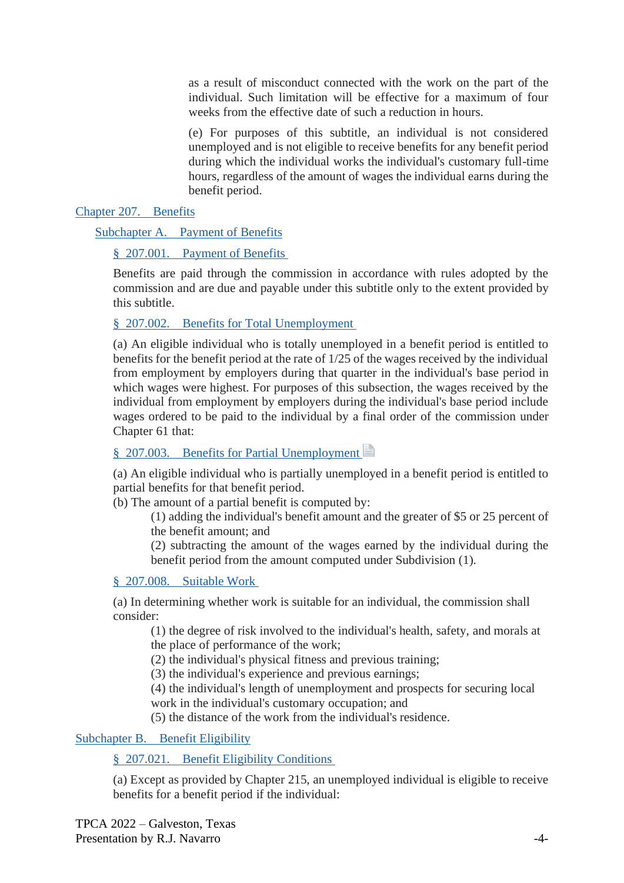as a result of misconduct connected with the work on the part of the individual. Such limitation will be effective for a maximum of four weeks from the effective date of such a reduction in hours.

(e) For purposes of this subtitle, an individual is not considered unemployed and is not eligible to receive benefits for any benefit period during which the individual works the individual's customary full-time hours, regardless of the amount of wages the individual earns during the benefit period.

[Chapter 207.](https://1.next.westlaw.com/Browse/Home/StatutesCourtRules/TexasStatutesCourtRules?guid=N3D899C91BE584711BA8BA3B77C7B5E0C&originationContext=documenttoc&transitionType=Default&contextData=(sc.Default)) Benefits

Subchapter A. [Payment of Benefits](https://1.next.westlaw.com/Browse/Home/StatutesCourtRules/TexasStatutesCourtRules?guid=N31055BAC19BA4BB6BADA7165A0692B20&originationContext=documenttoc&transitionType=Default&contextData=(sc.Default))

#### § 207.001. [Payment of Benefits](https://1.next.westlaw.com/Document/NEE1BD190BE7211D9BDF79F56AB79CECB/View/FullText.html?originationContext=documenttoc&transitionType=CategoryPageItem&contextData=(sc.Default))

Benefits are paid through the commission in accordance with rules adopted by the commission and are due and payable under this subtitle only to the extent provided by this subtitle.

## § 207.002. [Benefits for Total Unemployment](https://1.next.westlaw.com/Document/N11946F20298211DCBED3ABBCFA846487/View/FullText.html?originationContext=documenttoc&transitionType=CategoryPageItem&contextData=(sc.Default))

(a) An eligible individual who is totally unemployed in a benefit period is entitled to benefits for the benefit period at the rate of 1/25 of the wages received by the individual from employment by employers during that quarter in the individual's base period in which wages were highest. For purposes of this subsection, the wages received by the individual from employment by employers during the individual's base period include wages ordered to be paid to the individual by a final order of the commission under Chapter 61 that:

# § 207.003. [Benefits for Partial Unemployment](https://1.next.westlaw.com/Document/NFA4F7200BE7211D9BDF79F56AB79CECB/View/FullText.html?originationContext=documenttoc&transitionType=CategoryPageItem&contextData=(sc.Default))

(a) An eligible individual who is partially unemployed in a benefit period is entitled to partial benefits for that benefit period.

(b) The amount of a partial benefit is computed by:

(1) adding the individual's benefit amount and the greater of \$5 or 25 percent of the benefit amount; and

(2) subtracting the amount of the wages earned by the individual during the benefit period from the amount computed under Subdivision (1).

#### § 207.008. [Suitable Work](https://1.next.westlaw.com/Document/NEBBCFA00BE7211D9BDF79F56AB79CECB/View/FullText.html?originationContext=documenttoc&transitionType=CategoryPageItem&contextData=(sc.Default))

(a) In determining whether work is suitable for an individual, the commission shall consider:

(1) the degree of risk involved to the individual's health, safety, and morals at the place of performance of the work;

(2) the individual's physical fitness and previous training;

(3) the individual's experience and previous earnings;

(4) the individual's length of unemployment and prospects for securing local work in the individual's customary occupation; and

(5) the distance of the work from the individual's residence.

#### Subchapter B. [Benefit Eligibility](https://1.next.westlaw.com/Browse/Home/StatutesCourtRules/TexasStatutesCourtRules?guid=N7E3857EE16CB4C83B1C6DB84E3B26F9C&originationContext=documenttoc&transitionType=Default&contextData=(sc.Default))

## § 207.021. [Benefit Eligibility Conditions](https://1.next.westlaw.com/Document/N3113A7701FED11E5816882F8DA31ED88/View/FullText.html?originationContext=documenttoc&transitionType=CategoryPageItem&contextData=(sc.Default))

(a) Except as provided by Chapter 215, an unemployed individual is eligible to receive benefits for a benefit period if the individual: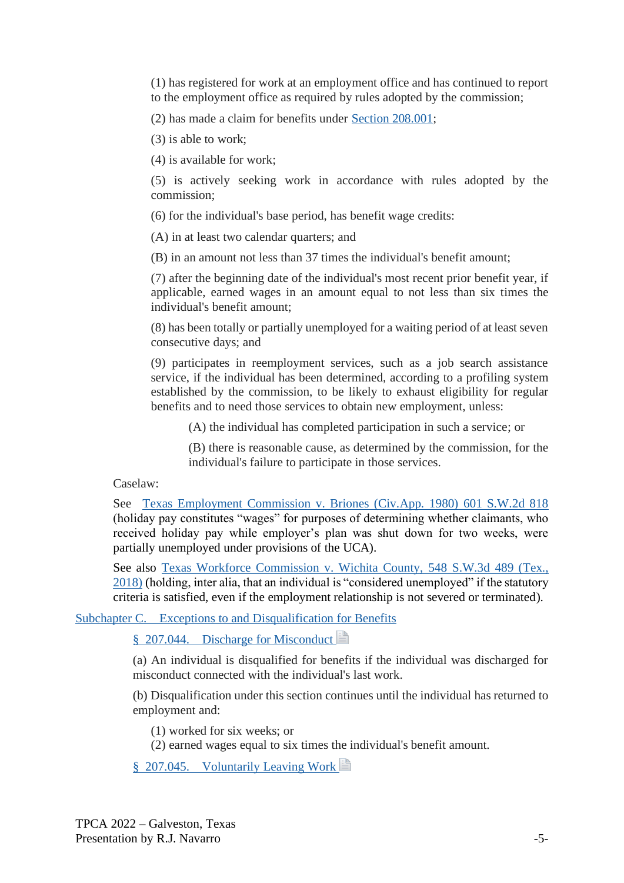(1) has registered for work at an employment office and has continued to report to the employment office as required by rules adopted by the commission;

(2) has made a claim for benefits under [Section 208.001;](https://1.next.westlaw.com/Link/Document/FullText?findType=L&pubNum=1003633&cite=TXLBS208.001&originatingDoc=N3113A7701FED11E5816882F8DA31ED88&refType=LQ&originationContext=document&transitionType=DocumentItem&ppcid=f563618581644fc99a3b13c658501f9f&contextData=(sc.Category))

(3) is able to work;

(4) is available for work;

(5) is actively seeking work in accordance with rules adopted by the commission;

(6) for the individual's base period, has benefit wage credits:

(A) in at least two calendar quarters; and

(B) in an amount not less than 37 times the individual's benefit amount;

(7) after the beginning date of the individual's most recent prior benefit year, if applicable, earned wages in an amount equal to not less than six times the individual's benefit amount;

(8) has been totally or partially unemployed for a waiting period of at least seven consecutive days; and

(9) participates in reemployment services, such as a job search assistance service, if the individual has been determined, according to a profiling system established by the commission, to be likely to exhaust eligibility for regular benefits and to need those services to obtain new employment, unless:

(A) the individual has completed participation in such a service; or

(B) there is reasonable cause, as determined by the commission, for the individual's failure to participate in those services.

Caselaw:

See [Texas Employment Commission v. Briones \(Civ.App. 1980\) 601 S.W.2d 818](https://1.next.westlaw.com/Link/Document/FullText?findType=Y&serNum=1980122602&pubNum=0000713&originatingDoc=NFA4F7200BE7211D9BDF79F56AB79CECB&refType=RP&originationContext=notesOfDecisions&contextData=%28sc.Document%29&transitionType=NotesOfDecisionItem&ppcid=52d8ea0eb7c049f295127dbca47201a9) (holiday pay constitutes "wages" for purposes of determining whether claimants, who received holiday pay while employer's plan was shut down for two weeks, were partially unemployed under provisions of the UCA).

See also [Texas Workforce Commission v. Wichita County, 548](https://1.next.westlaw.com/Document/I9f462e30603511e88a14e1fba2b51c53/View/FullText.html?transitionType=Default&contextData=(oc.Default)) S.W.3d 489 (Tex., [2018\)](https://1.next.westlaw.com/Document/I9f462e30603511e88a14e1fba2b51c53/View/FullText.html?transitionType=Default&contextData=(oc.Default)) (holding, inter alia, that an individual is "considered unemployed" if the statutory criteria is satisfied, even if the employment relationship is not severed or terminated).

Subchapter C. [Exceptions to and Disqualification for Benefits](https://1.next.westlaw.com/Browse/Home/StatutesCourtRules/TexasStatutesCourtRules?guid=NBB27DB2AA9E24DAEBA32F42697E41052&originationContext=documenttoc&transitionType=Default&contextData=(sc.Default))

§ 207.044. [Discharge for Misconduct](https://1.next.westlaw.com/Document/NF717EDB0BE7211D9BDF79F56AB79CECB/View/FullText.html?originationContext=documenttoc&transitionType=CategoryPageItem&contextData=(sc.Default))

(a) An individual is disqualified for benefits if the individual was discharged for misconduct connected with the individual's last work.

(b) Disqualification under this section continues until the individual has returned to employment and:

(1) worked for six weeks; or

(2) earned wages equal to six times the individual's benefit amount.

§ 207.045. [Voluntarily Leaving Work](https://1.next.westlaw.com/Document/NE740EC60D97C11E2BC90EB2E88DA73D5/View/FullText.html?originationContext=documenttoc&transitionType=CategoryPageItem&contextData=(sc.Default))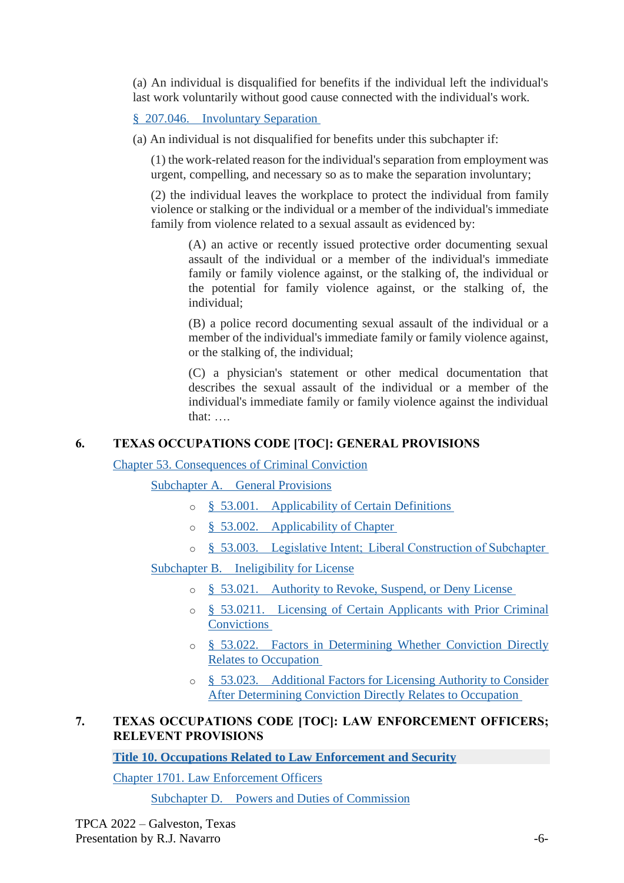(a) An individual is disqualified for benefits if the individual left the individual's last work voluntarily without good cause connected with the individual's work.

## § 207.046. [Involuntary Separation](https://1.next.westlaw.com/Document/NDAC39E90D00111EB9288903807739A5B/View/FullText.html?originationContext=documenttoc&transitionType=CategoryPageItem&contextData=(sc.Default))

(a) An individual is not disqualified for benefits under this subchapter if:

(1) the work-related reason for the individual's separation from employment was urgent, compelling, and necessary so as to make the separation involuntary;

(2) the individual leaves the workplace to protect the individual from family violence or stalking or the individual or a member of the individual's immediate family from violence related to a sexual assault as evidenced by:

(A) an active or recently issued protective order documenting sexual assault of the individual or a member of the individual's immediate family or family violence against, or the stalking of, the individual or the potential for family violence against, or the stalking of, the individual;

(B) a police record documenting sexual assault of the individual or a member of the individual's immediate family or family violence against, or the stalking of, the individual;

(C) a physician's statement or other medical documentation that describes the sexual assault of the individual or a member of the individual's immediate family or family violence against the individual that: ….

# **6. TEXAS OCCUPATIONS CODE [TOC]: GENERAL PROVISIONS**

# [Chapter 53. Consequences of Criminal Conviction](https://1.next.westlaw.com/Browse/Home/StatutesCourtRules/TexasStatutesCourtRules?guid=NC38BA099B2224AB788352E2827B7C155&originationContext=documenttoc&transitionType=Default&contextData=(sc.Default))

Subchapter A. [General Provisions](https://1.next.westlaw.com/Browse/Home/StatutesCourtRules/TexasStatutesCourtRules?guid=NC5C07F9D5E4B4C67AE684FC0C9E3DE2A&originationContext=documenttoc&transitionType=Default&contextData=(sc.Default))

- o § 53.001. [Applicability of Certain Definitions](https://1.next.westlaw.com/Document/N0162DFB0BE6D11D9BDF79F56AB79CECB/View/FullText.html?originationContext=documenttoc&transitionType=CategoryPageItem&contextData=(sc.Default))
- o § 53.002. [Applicability of Chapter](https://1.next.westlaw.com/Document/N8ABAAD90A77F11E099B2FD105CCE7444/View/FullText.html?originationContext=documenttoc&transitionType=CategoryPageItem&contextData=(sc.Default))
- o § 53.003. [Legislative Intent;  Liberal Construction of Subchapter](https://1.next.westlaw.com/Document/N4D218470A13D11E9806FD1F570ABFF0E/View/FullText.html?originationContext=documenttoc&transitionType=CategoryPageItem&contextData=(sc.Default))

# Subchapter B. [Ineligibility for License](https://1.next.westlaw.com/Browse/Home/StatutesCourtRules/TexasStatutesCourtRules?guid=N25C4EB5A5D9F44F7A6409B76E84EF8DF&originationContext=documenttoc&transitionType=Default&contextData=(sc.Default))

- o § 53.021. [Authority to Revoke, Suspend, or Deny License](https://1.next.westlaw.com/Document/N4EFD4951A13D11E98AADDA96C898F760/View/FullText.html?originationContext=documenttoc&transitionType=CategoryPageItem&contextData=(sc.Default))
- o § 53.0211. [Licensing of Certain Applicants with Prior Criminal](https://1.next.westlaw.com/Document/N52A96130AC9D11E0948E9FE761441DD3/View/FullText.html?originationContext=documenttoc&transitionType=CategoryPageItem&contextData=(sc.Default))  **[Convictions](https://1.next.westlaw.com/Document/N52A96130AC9D11E0948E9FE761441DD3/View/FullText.html?originationContext=documenttoc&transitionType=CategoryPageItem&contextData=(sc.Default))**
- o § 53.022. [Factors in Determining Whether Conviction Directly](https://1.next.westlaw.com/Document/N5BF76E10A13D11E9806FD1F570ABFF0E/View/FullText.html?originationContext=documenttoc&transitionType=CategoryPageItem&contextData=(sc.Default))  [Relates to Occupation](https://1.next.westlaw.com/Document/N5BF76E10A13D11E9806FD1F570ABFF0E/View/FullText.html?originationContext=documenttoc&transitionType=CategoryPageItem&contextData=(sc.Default))
- o § 53.023. [Additional Factors for Licensing Authority to Consider](https://1.next.westlaw.com/Document/N5EC66C90A13D11E9BECFBE167A0DFBF9/View/FullText.html?originationContext=documenttoc&transitionType=CategoryPageItem&contextData=(sc.Default))  [After Determining Conviction Directly Relates to Occupation](https://1.next.westlaw.com/Document/N5EC66C90A13D11E9BECFBE167A0DFBF9/View/FullText.html?originationContext=documenttoc&transitionType=CategoryPageItem&contextData=(sc.Default))

## **7. TEXAS OCCUPATIONS CODE [TOC]: LAW ENFORCEMENT OFFICERS; RELEVENT PROVISIONS**

**[Title 10. Occupations Related to Law Enforcement and Security](https://1.next.westlaw.com/Browse/Home/StatutesCourtRules/TexasStatutesCourtRules?guid=N39722BB2C5514C9D949B851F28D5F509&originationContext=documenttoc&transitionType=Default&contextData=(sc.Default))**

[Chapter 1701. Law Enforcement Officers](https://1.next.westlaw.com/Browse/Home/StatutesCourtRules/TexasStatutesCourtRules?guid=N00AAF2978C064E319301B03FE5DA2482&originationContext=documenttoc&transitionType=Default&contextData=(sc.Default))

Subchapter D. [Powers and Duties of Commission](https://1.next.westlaw.com/Browse/Home/StatutesCourtRules/TexasStatutesCourtRules?guid=NF2613247BEF3436F957E87D6960588E7&originationContext=documenttoc&transitionType=Default&contextData=(sc.Default))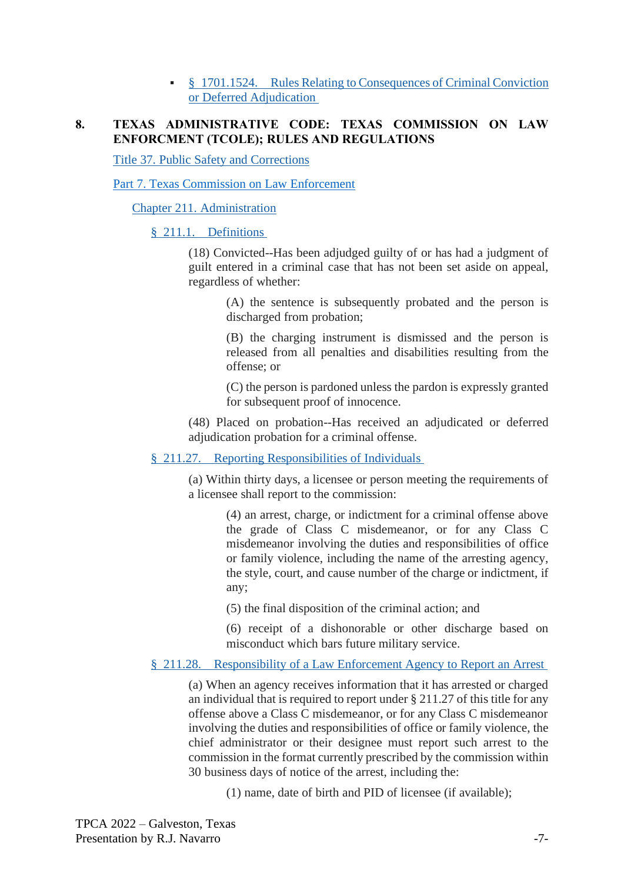**EX S** 1701.1524. Rules Relating to Consequences of Criminal Conviction [or Deferred Adjudication](https://1.next.westlaw.com/Document/N3285CA3065AD11DE8337EF49560C3BAF/View/FullText.html?originationContext=documenttoc&transitionType=CategoryPageItem&contextData=(sc.Default))

#### **8. TEXAS ADMINISTRATIVE CODE: TEXAS COMMISSION ON LAW ENFORCMENT (TCOLE); RULES AND REGULATIONS**

[Title 37. Public Safety and Corrections](https://1.next.westlaw.com/Browse/Home/Regulations/TexasRegulations?guid=NF93210E0CD1811DD9E228813E2F89B01&originationContext=documenttoc&transitionType=Default&contextData=(sc.Default))

[Part 7. Texas Commission on Law Enforcement](https://1.next.westlaw.com/Browse/Home/Regulations/TexasRegulations?guid=N37167CC0CD1911DD9E228813E2F89B01&originationContext=documenttoc&transitionType=Default&contextData=(sc.Default))

[Chapter 211. Administration](https://1.next.westlaw.com/Browse/Home/Regulations/TexasRegulations?guid=N371F0840CD1911DD9E228813E2F89B01&originationContext=documenttoc&transitionType=Default&contextData=(sc.Default))

§ 211.1. [Definitions](https://1.next.westlaw.com/Document/N6B7A10606F2B11EAA720DCA08BBB1E78/View/FullText.html?originationContext=documenttoc&transitionType=CategoryPageItem&contextData=(sc.Default))

(18) Convicted--Has been adjudged guilty of or has had a judgment of guilt entered in a criminal case that has not been set aside on appeal, regardless of whether:

> (A) the sentence is subsequently probated and the person is discharged from probation;

> (B) the charging instrument is dismissed and the person is released from all penalties and disabilities resulting from the offense; or

> (C) the person is pardoned unless the pardon is expressly granted for subsequent proof of innocence.

(48) Placed on probation--Has received an adjudicated or deferred adjudication probation for a criminal offense.

§ 211.27. [Reporting Responsibilities of Individuals](https://1.next.westlaw.com/Document/N41652290E88E11DDA5DA92E361100C4F/View/FullText.html?originationContext=documenttoc&transitionType=CategoryPageItem&contextData=(sc.Default))

(a) Within thirty days, a licensee or person meeting the requirements of a licensee shall report to the commission:

> (4) an arrest, charge, or indictment for a criminal offense above the grade of Class C misdemeanor, or for any Class C misdemeanor involving the duties and responsibilities of office or family violence, including the name of the arresting agency, the style, court, and cause number of the charge or indictment, if any;

(5) the final disposition of the criminal action; and

(6) receipt of a dishonorable or other discharge based on misconduct which bars future military service.

§ 211.28. [Responsibility of a Law Enforcement Agency to Report an Arrest](https://1.next.westlaw.com/Document/N41A3B230E88E11DDA5DA92E361100C4F/View/FullText.html?originationContext=documenttoc&transitionType=CategoryPageItem&contextData=(sc.Default))

(a) When an agency receives information that it has arrested or charged an individual that is required to report under § 211.27 of this title for any offense above a Class C misdemeanor, or for any Class C misdemeanor involving the duties and responsibilities of office or family violence, the chief administrator or their designee must report such arrest to the commission in the format currently prescribed by the commission within 30 business days of notice of the arrest, including the:

(1) name, date of birth and PID of licensee (if available);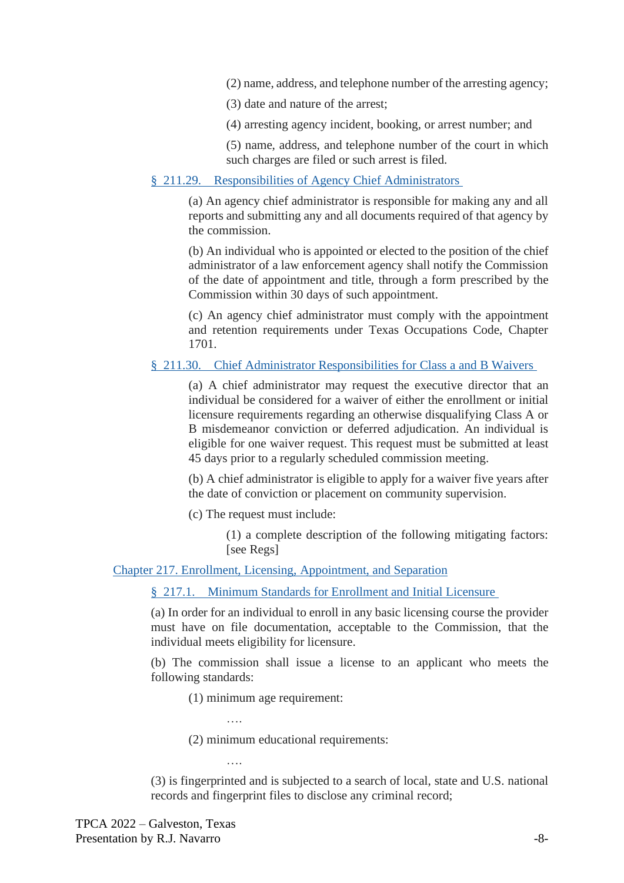(2) name, address, and telephone number of the arresting agency;

(3) date and nature of the arrest;

(4) arresting agency incident, booking, or arrest number; and

(5) name, address, and telephone number of the court in which such charges are filed or such arrest is filed.

#### § 211.29. [Responsibilities of Agency Chief Administrators](https://1.next.westlaw.com/Document/N41F3F510E88E11DDA5DA92E361100C4F/View/FullText.html?originationContext=documenttoc&transitionType=CategoryPageItem&contextData=(sc.Default))

(a) An agency chief administrator is responsible for making any and all reports and submitting any and all documents required of that agency by the commission.

(b) An individual who is appointed or elected to the position of the chief administrator of a law enforcement agency shall notify the Commission of the date of appointment and title, through a form prescribed by the Commission within 30 days of such appointment.

(c) An agency chief administrator must comply with the appointment and retention requirements under Texas Occupations Code, Chapter 1701.

#### § 211.30. [Chief Administrator Responsibilities for Class a and B Waivers](https://1.next.westlaw.com/Document/N47EC8410BCC711DEA090C03838F32C1E/View/FullText.html?originationContext=documenttoc&transitionType=CategoryPageItem&contextData=(sc.Default))

(a) A chief administrator may request the executive director that an individual be considered for a waiver of either the enrollment or initial licensure requirements regarding an otherwise disqualifying Class A or B misdemeanor conviction or deferred adjudication. An individual is eligible for one waiver request. This request must be submitted at least 45 days prior to a regularly scheduled commission meeting.

(b) A chief administrator is eligible to apply for a waiver five years after the date of conviction or placement on community supervision.

(c) The request must include:

(1) a complete description of the following mitigating factors: [see Regs]

[Chapter 217. Enrollment, Licensing, Appointment, and Separation](https://1.next.westlaw.com/Browse/Home/Regulations/TexasRegulations?guid=N38353330CD1911DD9E228813E2F89B01&originationContext=documenttoc&transitionType=Default&contextData=(sc.Default))

§ 217.1. [Minimum Standards for Enrollment and Initial Licensure](https://1.next.westlaw.com/Document/N5CBC90C06F2B11EAA6D196E23048B578/View/FullText.html?originationContext=documenttoc&transitionType=CategoryPageItem&contextData=(sc.Default))

(a) In order for an individual to enroll in any basic licensing course the provider must have on file documentation, acceptable to the Commission, that the individual meets eligibility for licensure.

(b) The commission shall issue a license to an applicant who meets the following standards:

(1) minimum age requirement:

….

….

(2) minimum educational requirements:

(3) is fingerprinted and is subjected to a search of local, state and U.S. national records and fingerprint files to disclose any criminal record;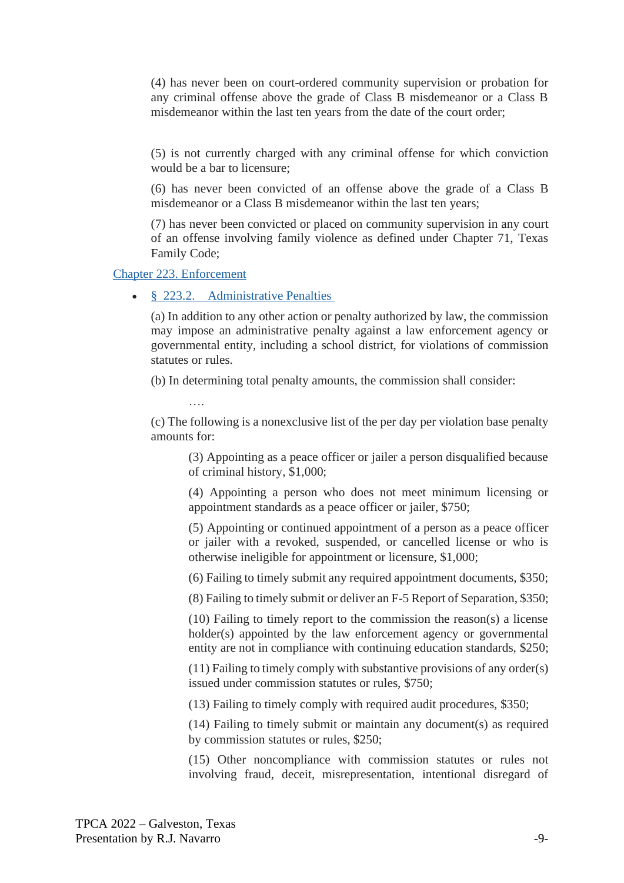(4) has never been on court-ordered community supervision or probation for any criminal offense above the grade of Class B misdemeanor or a Class B misdemeanor within the last ten years from the date of the court order;

(5) is not currently charged with any criminal offense for which conviction would be a bar to licensure;

(6) has never been convicted of an offense above the grade of a Class B misdemeanor or a Class B misdemeanor within the last ten years;

(7) has never been convicted or placed on community supervision in any court of an offense involving family violence as defined under Chapter 71, Texas Family Code;

[Chapter 223. Enforcement](https://1.next.westlaw.com/Browse/Home/Regulations/TexasRegulations?guid=N39920410CD1911DD9E228813E2F89B01&originationContext=documenttoc&transitionType=Default&contextData=(sc.Default))

• § 223.2. [Administrative Penalties](https://1.next.westlaw.com/Document/N3A72C2B00B2111DF87819685B78A8419/View/FullText.html?originationContext=documenttoc&transitionType=CategoryPageItem&contextData=(sc.Default))

(a) In addition to any other action or penalty authorized by law, the commission may impose an administrative penalty against a law enforcement agency or governmental entity, including a school district, for violations of commission statutes or rules.

(b) In determining total penalty amounts, the commission shall consider:

….

(c) The following is a nonexclusive list of the per day per violation base penalty amounts for:

(3) Appointing as a peace officer or jailer a person disqualified because of criminal history, \$1,000;

(4) Appointing a person who does not meet minimum licensing or appointment standards as a peace officer or jailer, \$750;

(5) Appointing or continued appointment of a person as a peace officer or jailer with a revoked, suspended, or cancelled license or who is otherwise ineligible for appointment or licensure, \$1,000;

(6) Failing to timely submit any required appointment documents, \$350;

(8) Failing to timely submit or deliver an F-5 Report of Separation, \$350;

(10) Failing to timely report to the commission the reason(s) a license holder(s) appointed by the law enforcement agency or governmental entity are not in compliance with continuing education standards, \$250;

(11) Failing to timely comply with substantive provisions of any order(s) issued under commission statutes or rules, \$750;

(13) Failing to timely comply with required audit procedures, \$350;

(14) Failing to timely submit or maintain any document(s) as required by commission statutes or rules, \$250;

(15) Other noncompliance with commission statutes or rules not involving fraud, deceit, misrepresentation, intentional disregard of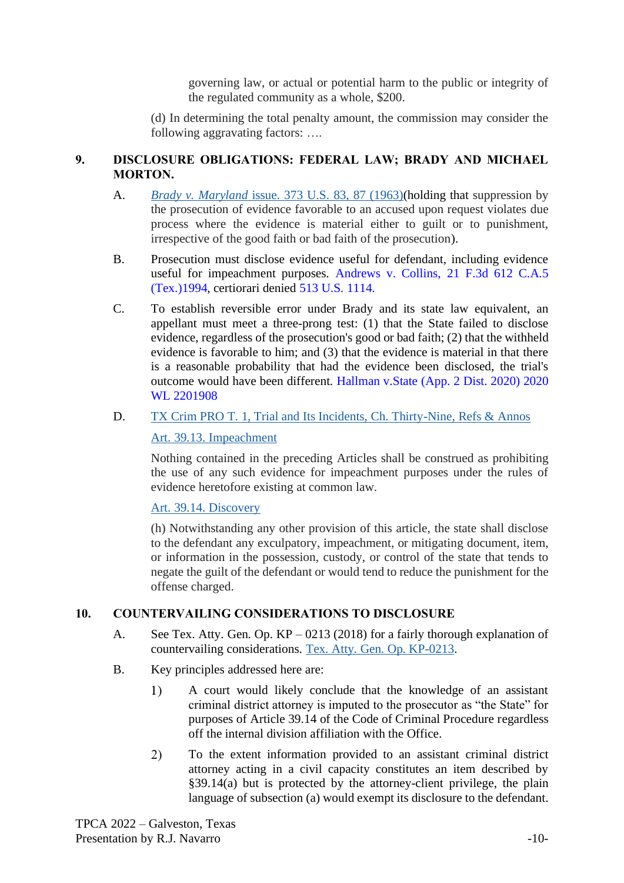governing law, or actual or potential harm to the public or integrity of the regulated community as a whole, \$200.

(d) In determining the total penalty amount, the commission may consider the following aggravating factors: ….

## **9. DISCLOSURE OBLIGATIONS: FEDERAL LAW; BRADY AND MICHAEL MORTON.**

- A. *Brady v. Maryland* [issue. 373 U.S. 83, 87](https://1.next.westlaw.com/Link/Document/FullText?findType=Y&serNum=1963125353&pubNum=708&originatingDoc=I0d3874c4e96611d983e7e9deff98dc6f&refType=RP&originationContext=document&transitionType=DocumentItem&ppcid=4ba36d1b8dc94421a09dffabcca9b6d7&contextData=(sc.Keycite)) (1963)(holding that suppression by the prosecution of evidence favorable to an accused upon request violates due process where the evidence is material either to guilt or to punishment, irrespective of the good faith or bad faith of the prosecution).
- B. Prosecution must disclose evidence useful for defendant, including evidence useful for impeachment purposes. Andrews v. Collins, 21 F.3d 612 C.A.5 (Tex.)1994, certiorari denied 513 U.S. 1114.
- C. To establish reversible error under Brady and its state law equivalent, an appellant must meet a three-prong test: (1) that the State failed to disclose evidence, regardless of the prosecution's good or bad faith; (2) that the withheld evidence is favorable to him; and (3) that the evidence is material in that there is a reasonable probability that had the evidence been disclosed, the trial's outcome would have been different. Hallman v.State (App. 2 Dist. 2020) 2020 WL 2201908
- D. [TX Crim PRO T. 1, Trial and Its Incidents, Ch. Thirty-Nine, Refs & Annos](https://1.next.westlaw.com/Document/N17F3EB50C7C011D98026E251B4194815/View/FullText.html?originationContext=documenttoc&transitionType=CategoryPageItem&contextData=(sc.Default))

## [Art. 39.13. Impeachment](https://1.next.westlaw.com/Document/NE5E6C0E0BE7011D9BDF79F56AB79CECB/View/FullText.html?originationContext=documenttoc&transitionType=CategoryPageItem&contextData=(sc.Default))

Nothing contained in the preceding Articles shall be construed as prohibiting the use of any such evidence for impeachment purposes under the rules of evidence heretofore existing at common law.

[Art. 39.14. Discovery](https://1.next.westlaw.com/Document/N16406B40563711E799458F015F55AD97/View/FullText.html?originationContext=documenttoc&transitionType=CategoryPageItem&contextData=(sc.Default))

(h) Notwithstanding any other provision of this article, the state shall disclose to the defendant any exculpatory, impeachment, or mitigating document, item, or information in the possession, custody, or control of the state that tends to negate the guilt of the defendant or would tend to reduce the punishment for the offense charged.

# **10. COUNTERVAILING CONSIDERATIONS TO DISCLOSURE**

- A. See Tex. Atty. Gen. Op. KP 0213 (2018) for a fairly thorough explanation of countervailing considerations. [Tex. Atty. Gen. Op. KP-0213.](https://1.next.westlaw.com/Document/I2be7257dc61911e8a5b3e3d9e23d7429/View/FullText.html?transitionType=Default&contextData=(oc.Default))
- B. Key principles addressed here are:
	- 1) A court would likely conclude that the knowledge of an assistant criminal district attorney is imputed to the prosecutor as "the State" for purposes of Article 39.14 of the Code of Criminal Procedure regardless off the internal division affiliation with the Office.
	- 2) To the extent information provided to an assistant criminal district attorney acting in a civil capacity constitutes an item described by §39.14(a) but is protected by the attorney-client privilege, the plain language of subsection (a) would exempt its disclosure to the defendant.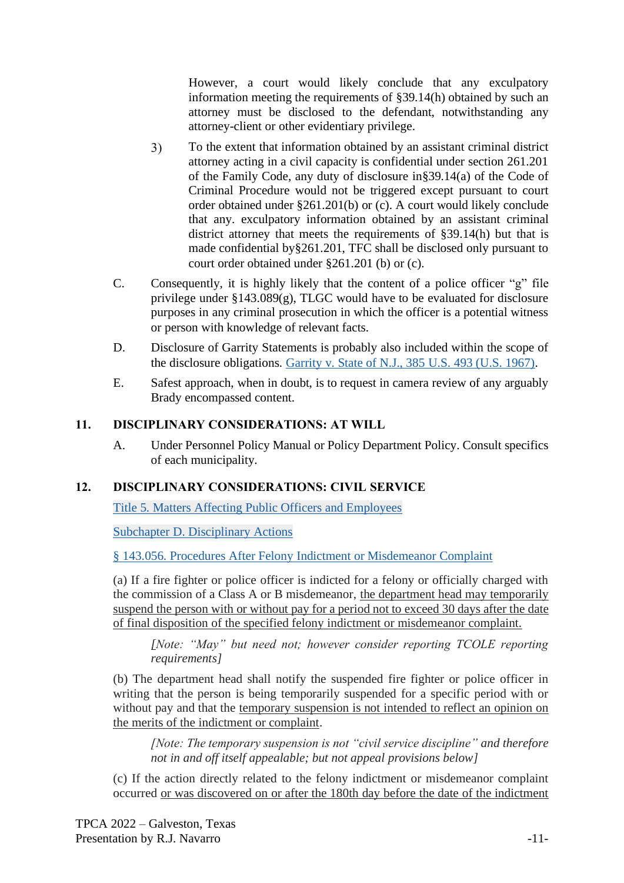However, a court would likely conclude that any exculpatory information meeting the requirements of §39.14(h) obtained by such an attorney must be disclosed to the defendant, notwithstanding any attorney-client or other evidentiary privilege.

- $3)$ To the extent that information obtained by an assistant criminal district attorney acting in a civil capacity is confidential under section 261.201 of the Family Code, any duty of disclosure in§39.14(a) of the Code of Criminal Procedure would not be triggered except pursuant to court order obtained under §261.201(b) or (c). A court would likely conclude that any. exculpatory information obtained by an assistant criminal district attorney that meets the requirements of §39.14(h) but that is made confidential by§261.201, TFC shall be disclosed only pursuant to court order obtained under §261.201 (b) or (c).
- C. Consequently, it is highly likely that the content of a police officer "g" file privilege under §143.089(g), TLGC would have to be evaluated for disclosure purposes in any criminal prosecution in which the officer is a potential witness or person with knowledge of relevant facts.
- D. Disclosure of Garrity Statements is probably also included within the scope of the disclosure obligations. [Garrity v. State of N.J., 385](https://1.next.westlaw.com/Document/I0a4c77209bf011d991d0cc6b54f12d4d/View/FullText.html?transitionType=Default&contextData=(oc.Default)) U.S. 493 (U.S. 1967).
- E. Safest approach, when in doubt, is to request in camera review of any arguably Brady encompassed content.

## **11. DISCIPLINARY CONSIDERATIONS: AT WILL**

A. Under Personnel Policy Manual or Policy Department Policy. Consult specifics of each municipality.

## **12. DISCIPLINARY CONSIDERATIONS: CIVIL SERVICE**

[Title 5. Matters Affecting Public Officers and Employees](https://1.next.westlaw.com/Browse/Home/StatutesCourtRules/TexasStatutesCourtRules?guid=N7E15E705DE6643288C8671976129100A&originationContext=documenttoc&transitionType=Default&contextData=(sc.Default))

[Subchapter D. Disciplinary Actions](https://1.next.westlaw.com/Browse/Home/StatutesCourtRules/TexasStatutesCourtRules?guid=N77C70E67DA9E4F758C89FD40676D5B97&originationContext=documenttoc&transitionType=Default&contextData=(sc.Default))

[§ 143.056. Procedures After Felony Indictment or Misdemeanor Complaint](https://1.next.westlaw.com/Document/N6E6CA270BE7311D9BDF79F56AB79CECB/View/FullText.html?originationContext=documenttoc&transitionType=CategoryPageItem&contextData=(sc.Default))

(a) If a fire fighter or police officer is indicted for a felony or officially charged with the commission of a Class A or B misdemeanor, the department head may temporarily suspend the person with or without pay for a period not to exceed 30 days after the date of final disposition of the specified felony indictment or misdemeanor complaint.

*[Note: "May" but need not; however consider reporting TCOLE reporting requirements]*

(b) The department head shall notify the suspended fire fighter or police officer in writing that the person is being temporarily suspended for a specific period with or without pay and that the temporary suspension is not intended to reflect an opinion on the merits of the indictment or complaint.

*[Note: The temporary suspension is not "civil service discipline" and therefore not in and off itself appealable; but not appeal provisions below]*

(c) If the action directly related to the felony indictment or misdemeanor complaint occurred or was discovered on or after the 180th day before the date of the indictment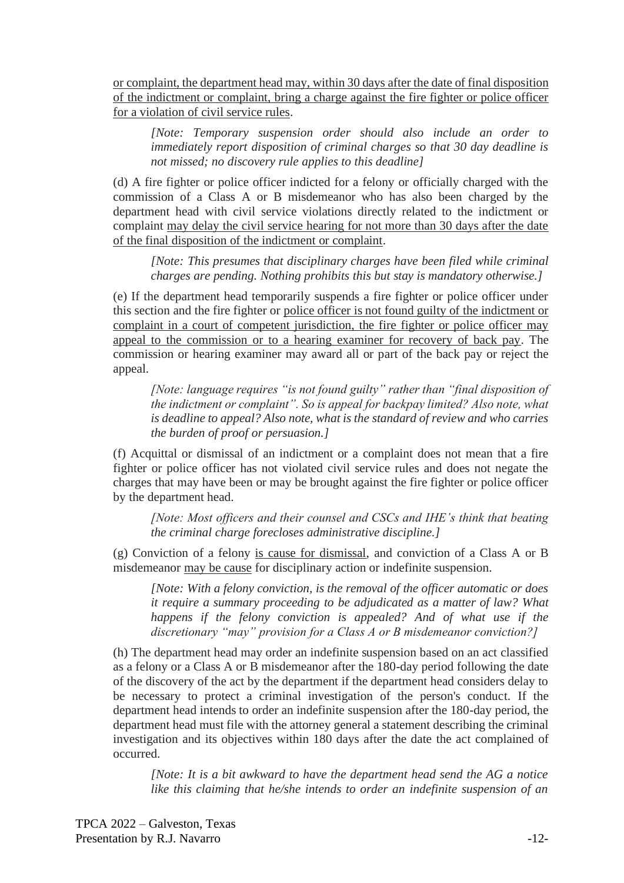or complaint, the department head may, within 30 days after the date of final disposition of the indictment or complaint, bring a charge against the fire fighter or police officer for a violation of civil service rules.

*[Note: Temporary suspension order should also include an order to immediately report disposition of criminal charges so that 30 day deadline is not missed; no discovery rule applies to this deadline]*

(d) A fire fighter or police officer indicted for a felony or officially charged with the commission of a Class A or B misdemeanor who has also been charged by the department head with civil service violations directly related to the indictment or complaint may delay the civil service hearing for not more than 30 days after the date of the final disposition of the indictment or complaint.

*[Note: This presumes that disciplinary charges have been filed while criminal charges are pending. Nothing prohibits this but stay is mandatory otherwise.]*

(e) If the department head temporarily suspends a fire fighter or police officer under this section and the fire fighter or police officer is not found guilty of the indictment or complaint in a court of competent jurisdiction, the fire fighter or police officer may appeal to the commission or to a hearing examiner for recovery of back pay. The commission or hearing examiner may award all or part of the back pay or reject the appeal.

*[Note: language requires "is not found guilty" rather than "final disposition of the indictment or complaint". So is appeal for backpay limited? Also note, what is deadline to appeal? Also note, what is the standard of review and who carries the burden of proof or persuasion.]*

(f) Acquittal or dismissal of an indictment or a complaint does not mean that a fire fighter or police officer has not violated civil service rules and does not negate the charges that may have been or may be brought against the fire fighter or police officer by the department head.

*[Note: Most officers and their counsel and CSCs and IHE's think that beating the criminal charge forecloses administrative discipline.]*

(g) Conviction of a felony is cause for dismissal, and conviction of a Class A or B misdemeanor may be cause for disciplinary action or indefinite suspension.

*[Note: With a felony conviction, is the removal of the officer automatic or does it require a summary proceeding to be adjudicated as a matter of law? What happens if the felony conviction is appealed? And of what use if the discretionary "may" provision for a Class A or B misdemeanor conviction?]*

(h) The department head may order an indefinite suspension based on an act classified as a felony or a Class A or B misdemeanor after the 180-day period following the date of the discovery of the act by the department if the department head considers delay to be necessary to protect a criminal investigation of the person's conduct. If the department head intends to order an indefinite suspension after the 180-day period, the department head must file with the attorney general a statement describing the criminal investigation and its objectives within 180 days after the date the act complained of occurred.

*[Note: It is a bit awkward to have the department head send the AG a notice like this claiming that he/she intends to order an indefinite suspension of an*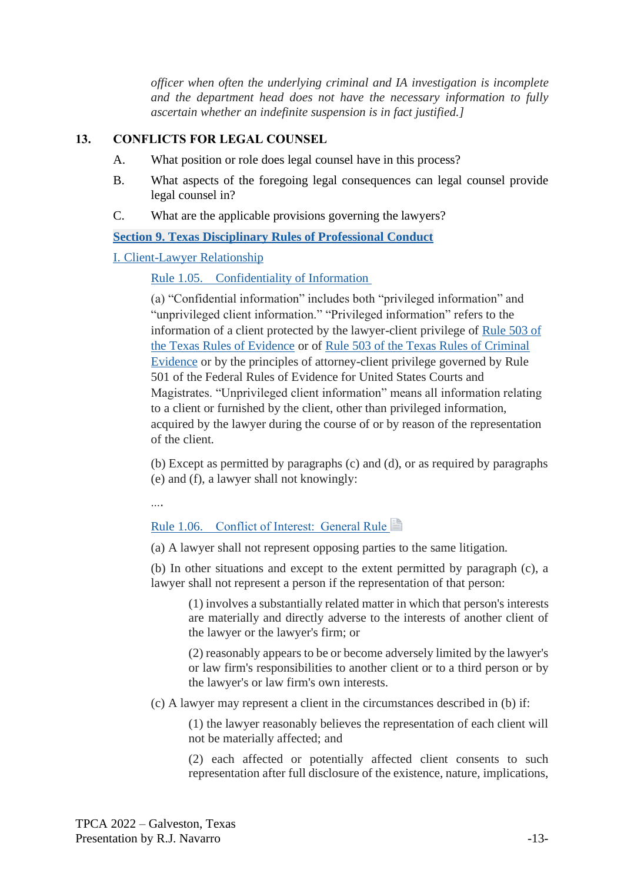*officer when often the underlying criminal and IA investigation is incomplete and the department head does not have the necessary information to fully ascertain whether an indefinite suspension is in fact justified.]*

#### **13. CONFLICTS FOR LEGAL COUNSEL**

- A. What position or role does legal counsel have in this process?
- B. What aspects of the foregoing legal consequences can legal counsel provide legal counsel in?
- C. What are the applicable provisions governing the lawyers?

**[Section 9. Texas Disciplinary Rules of Professional Conduct](https://1.next.westlaw.com/Browse/Home/StatutesCourtRules/TexasStatutesCourtRules?guid=N15AB8040C8E411D998AFFC7AB1039B0F&originationContext=documenttoc&transitionType=Default&contextData=(sc.Default))**

#### [I. Client-Lawyer Relationship](https://1.next.westlaw.com/Browse/Home/StatutesCourtRules/TexasStatutesCourtRules?guid=N175056A0C8E411D998AFFC7AB1039B0F&originationContext=documenttoc&transitionType=Default&contextData=(sc.Default))

Rule 1.05. [Confidentiality of Information](https://1.next.westlaw.com/Document/N936E9A60C93111D9BDF79F56AB79CECB/View/FullText.html?originationContext=documenttoc&transitionType=CategoryPageItem&contextData=(sc.Default))

(a) "Confidential information" includes both "privileged information" and "unprivileged client information." "Privileged information" refers to the information of a client protected by the lawyer-client privilege of [Rule 503 of](https://1.next.westlaw.com/Link/Document/FullText?findType=L&pubNum=1003819&cite=TXRREVR503&originatingDoc=N936E9A60C93111D9BDF79F56AB79CECB&refType=LQ&originationContext=document&transitionType=DocumentItem&ppcid=c018fd416e7e47ff96b67a446ed226dc&contextData=(sc.Category))  [the Texas Rules of Evidence](https://1.next.westlaw.com/Link/Document/FullText?findType=L&pubNum=1003819&cite=TXRREVR503&originatingDoc=N936E9A60C93111D9BDF79F56AB79CECB&refType=LQ&originationContext=document&transitionType=DocumentItem&ppcid=c018fd416e7e47ff96b67a446ed226dc&contextData=(sc.Category)) or of [Rule 503 of the Texas Rules of Criminal](https://1.next.westlaw.com/Link/Document/FullText?findType=L&pubNum=1003819&cite=TXRREVR503&originatingDoc=N936E9A60C93111D9BDF79F56AB79CECB&refType=LQ&originationContext=document&transitionType=DocumentItem&ppcid=c018fd416e7e47ff96b67a446ed226dc&contextData=(sc.Category))  [Evidence](https://1.next.westlaw.com/Link/Document/FullText?findType=L&pubNum=1003819&cite=TXRREVR503&originatingDoc=N936E9A60C93111D9BDF79F56AB79CECB&refType=LQ&originationContext=document&transitionType=DocumentItem&ppcid=c018fd416e7e47ff96b67a446ed226dc&contextData=(sc.Category)) or by the principles of attorney-client privilege governed by Rule 501 of the Federal Rules of Evidence for United States Courts and Magistrates. "Unprivileged client information" means all information relating to a client or furnished by the client, other than privileged information, acquired by the lawyer during the course of or by reason of the representation of the client.

(b) Except as permitted by paragraphs (c) and (d), or as required by paragraphs (e) and (f), a lawyer shall not knowingly:

….

#### Rule 1.06. Conflict of Interest: General Rule

(a) A lawyer shall not represent opposing parties to the same litigation.

(b) In other situations and except to the extent permitted by paragraph (c), a lawyer shall not represent a person if the representation of that person:

(1) involves a substantially related matter in which that person's interests are materially and directly adverse to the interests of another client of the lawyer or the lawyer's firm; or

(2) reasonably appears to be or become adversely limited by the lawyer's or law firm's responsibilities to another client or to a third person or by the lawyer's or law firm's own interests.

(c) A lawyer may represent a client in the circumstances described in (b) if:

(1) the lawyer reasonably believes the representation of each client will not be materially affected; and

(2) each affected or potentially affected client consents to such representation after full disclosure of the existence, nature, implications,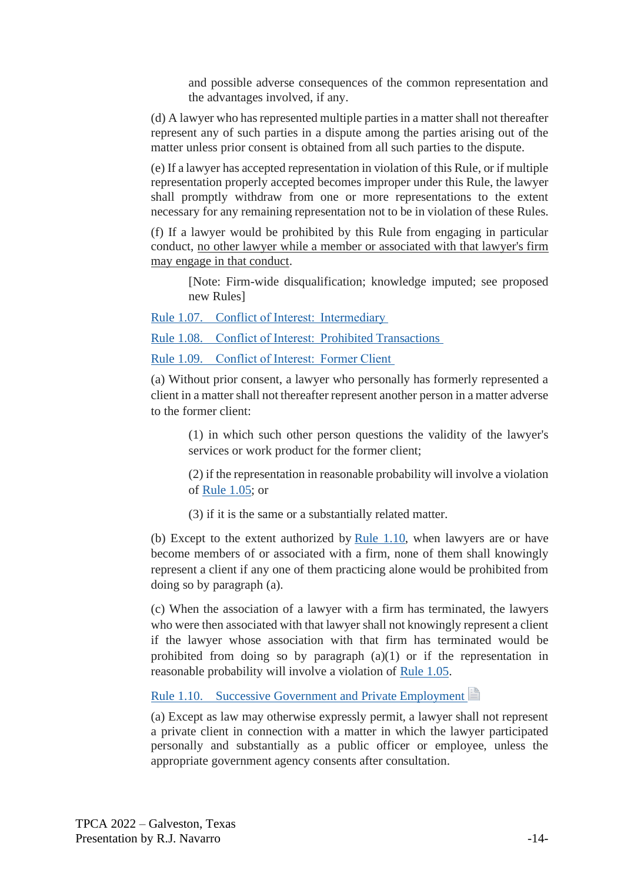and possible adverse consequences of the common representation and the advantages involved, if any.

(d) A lawyer who has represented multiple parties in a matter shall not thereafter represent any of such parties in a dispute among the parties arising out of the matter unless prior consent is obtained from all such parties to the dispute.

(e) If a lawyer has accepted representation in violation of this Rule, or if multiple representation properly accepted becomes improper under this Rule, the lawyer shall promptly withdraw from one or more representations to the extent necessary for any remaining representation not to be in violation of these Rules.

(f) If a lawyer would be prohibited by this Rule from engaging in particular conduct, no other lawyer while a member or associated with that lawyer's firm may engage in that conduct.

[Note: Firm-wide disqualification; knowledge imputed; see proposed new Rules]

Rule 1.07. [Conflict of Interest:  Intermediary](https://1.next.westlaw.com/Document/N94D7A040C93111D9BDF79F56AB79CECB/View/FullText.html?originationContext=documenttoc&transitionType=CategoryPageItem&contextData=(sc.Default))

Rule 1.08. [Conflict of Interest:  Prohibited Transactions](https://1.next.westlaw.com/Document/N95198B40C93111D9BDF79F56AB79CECB/View/FullText.html?originationContext=documenttoc&transitionType=CategoryPageItem&contextData=(sc.Default))

Rule 1.09. [Conflict of Interest:  Former Client](https://1.next.westlaw.com/Document/N95EF2AC0C93111D9BDF79F56AB79CECB/View/FullText.html?originationContext=documenttoc&transitionType=CategoryPageItem&contextData=(sc.Default))

(a) Without prior consent, a lawyer who personally has formerly represented a client in a matter shall not thereafter represent another person in a matter adverse to the former client:

(1) in which such other person questions the validity of the lawyer's services or work product for the former client;

(2) if the representation in reasonable probability will involve a violation of [Rule 1.05;](https://1.next.westlaw.com/Link/Document/FullText?findType=L&pubNum=1003812&cite=TXSTRPCR1.05&originatingDoc=N95EF2AC0C93111D9BDF79F56AB79CECB&refType=LQ&originationContext=document&transitionType=DocumentItem&ppcid=dccb1f70ae084401b6b6e226b9bd8090&contextData=(sc.Document)) or

(3) if it is the same or a substantially related matter.

(b) Except to the extent authorized by  $Rule 1.10$ , when lawyers are or have become members of or associated with a firm, none of them shall knowingly represent a client if any one of them practicing alone would be prohibited from doing so by paragraph (a).

(c) When the association of a lawyer with a firm has terminated, the lawyers who were then associated with that lawyer shall not knowingly represent a client if the lawyer whose association with that firm has terminated would be prohibited from doing so by paragraph (a)(1) or if the representation in reasonable probability will involve a violation of [Rule 1.05.](https://1.next.westlaw.com/Link/Document/FullText?findType=L&pubNum=1003812&cite=TXSTRPCR1.05&originatingDoc=N95EF2AC0C93111D9BDF79F56AB79CECB&refType=LQ&originationContext=document&transitionType=DocumentItem&ppcid=dccb1f70ae084401b6b6e226b9bd8090&contextData=(sc.Document))

## Rule 1.10. [Successive Government and Private Employment](https://1.next.westlaw.com/Document/N96D9FFF0C93111D9BDF79F56AB79CECB/View/FullText.html?originationContext=documenttoc&transitionType=CategoryPageItem&contextData=(sc.Default))

(a) Except as law may otherwise expressly permit, a lawyer shall not represent a private client in connection with a matter in which the lawyer participated personally and substantially as a public officer or employee, unless the appropriate government agency consents after consultation.